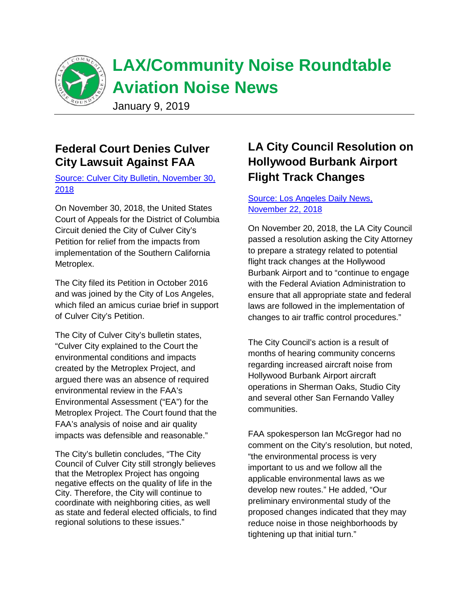

# **Federal Court Denies Culver City Lawsuit Against FAA**

[Source: Culver City Bulletin, November 30,](https://content.govdelivery.com/accounts/CACULVER/bulletins/21f568b) [2018](https://content.govdelivery.com/accounts/CACULVER/bulletins/21f568b)

On November 30, 2018, the United States Court of Appeals for the District of Columbia Circuit denied the City of Culver City's Petition for relief from the impacts from implementation of the Southern California Metroplex.

The City filed its Petition in October 2016 and was joined by the City of Los Angeles, which filed an amicus curiae brief in support of Culver City's Petition.

The City of Culver City's bulletin states, "Culver City explained to the Court the environmental conditions and impacts created by the Metroplex Project, and argued there was an absence of required environmental review in the FAA's Environmental Assessment ("EA") for the Metroplex Project. The Court found that the FAA's analysis of noise and air quality impacts was defensible and reasonable."

The City's bulletin concludes, "The City Council of Culver City still strongly believes that the Metroplex Project has ongoing negative effects on the quality of life in the City. Therefore, the City will continue to coordinate with neighboring cities, as well as state and federal elected officials, to find regional solutions to these issues."

# **LA City Council Resolution on Hollywood Burbank Airport Flight Track Changes**

### [Source: Los Angeles Daily News,](https://www.dailynews.com/2018/11/22/los-angeles-city-council-seeks-faa-transparency-on-hollywood-burbank-airport-air-traffic-control-changes/)  [November 22, 2018](https://www.dailynews.com/2018/11/22/los-angeles-city-council-seeks-faa-transparency-on-hollywood-burbank-airport-air-traffic-control-changes/)

On November 20, 2018, the LA City Council passed a resolution asking the City Attorney to prepare a strategy related to potential flight track changes at the Hollywood Burbank Airport and to "continue to engage with the Federal Aviation Administration to ensure that all appropriate state and federal laws are followed in the implementation of changes to air traffic control procedures."

The City Council's action is a result of months of hearing community concerns regarding increased aircraft noise from Hollywood Burbank Airport aircraft operations in Sherman Oaks, Studio City and several other San Fernando Valley communities.

FAA spokesperson Ian McGregor had no comment on the City's resolution, but noted, "the environmental process is very important to us and we follow all the applicable environmental laws as we develop new routes." He added, "Our preliminary environmental study of the proposed changes indicated that they may reduce noise in those neighborhoods by tightening up that initial turn."